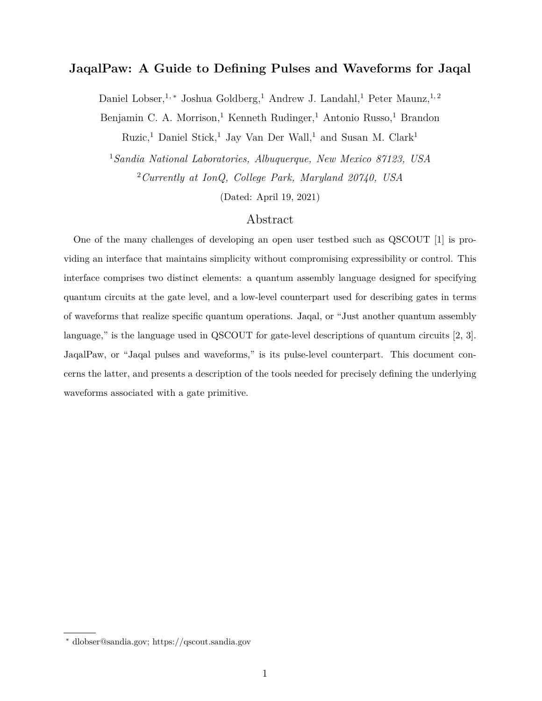# **JaqalPaw: A Guide to Defining Pulses and Waveforms for Jaqal**

Daniel Lobser,<sup>1,\*</sup> Joshua Goldberg,<sup>1</sup> Andrew J. Landahl,<sup>1</sup> Peter Maunz,<sup>1,2</sup>

Benjamin C. A. Morrison,<sup>1</sup> Kenneth Rudinger,<sup>1</sup> Antonio Russo,<sup>1</sup> Brandon

Ruzic,<sup>1</sup> Daniel Stick,<sup>1</sup> Jay Van Der Wall,<sup>1</sup> and Susan M. Clark<sup>1</sup>

<sup>1</sup>*Sandia National Laboratories, Albuquerque, New Mexico 87123, USA* <sup>2</sup>*Currently at IonQ, College Park, Maryland 20740, USA*

(Dated: April 19, 2021)

## Abstract

One of the many challenges of developing an open user testbed such as QSCOUT [1] is providing an interface that maintains simplicity without compromising expressibility or control. This interface comprises two distinct elements: a quantum assembly language designed for specifying quantum circuits at the gate level, and a low-level counterpart used for describing gates in terms of waveforms that realize specific quantum operations. Jaqal, or "Just another quantum assembly language," is the language used in QSCOUT for gate-level descriptions of quantum circuits [2, 3]. JaqalPaw, or "Jaqal pulses and waveforms," is its pulse-level counterpart. This document concerns the latter, and presents a description of the tools needed for precisely defining the underlying waveforms associated with a gate primitive.

<sup>∗</sup> dlobser@sandia.gov; https://qscout.sandia.gov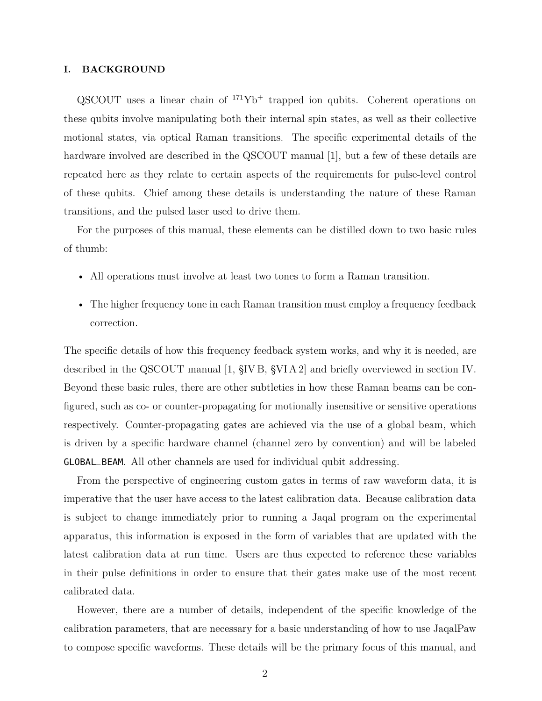#### **I. BACKGROUND**

 $QSCOUT$  uses a linear chain of  $171Yb<sup>+</sup>$  trapped ion qubits. Coherent operations on these qubits involve manipulating both their internal spin states, as well as their collective motional states, via optical Raman transitions. The specific experimental details of the hardware involved are described in the QSCOUT manual [1], but a few of these details are repeated here as they relate to certain aspects of the requirements for pulse-level control of these qubits. Chief among these details is understanding the nature of these Raman transitions, and the pulsed laser used to drive them.

For the purposes of this manual, these elements can be distilled down to two basic rules of thumb:

- All operations must involve at least two tones to form a Raman transition.
- The higher frequency tone in each Raman transition must employ a frequency feedback correction.

The specific details of how this frequency feedback system works, and why it is needed, are described in the QSCOUT manual [1, §IV B, §VI A 2] and briefly overviewed in section IV. Beyond these basic rules, there are other subtleties in how these Raman beams can be configured, such as co- or counter-propagating for motionally insensitive or sensitive operations respectively. Counter-propagating gates are achieved via the use of a global beam, which is driven by a specific hardware channel (channel zero by convention) and will be labeled GLOBAL\_BEAM. All other channels are used for individual qubit addressing.

From the perspective of engineering custom gates in terms of raw waveform data, it is imperative that the user have access to the latest calibration data. Because calibration data is subject to change immediately prior to running a Jaqal program on the experimental apparatus, this information is exposed in the form of variables that are updated with the latest calibration data at run time. Users are thus expected to reference these variables in their pulse definitions in order to ensure that their gates make use of the most recent calibrated data.

However, there are a number of details, independent of the specific knowledge of the calibration parameters, that are necessary for a basic understanding of how to use JaqalPaw to compose specific waveforms. These details will be the primary focus of this manual, and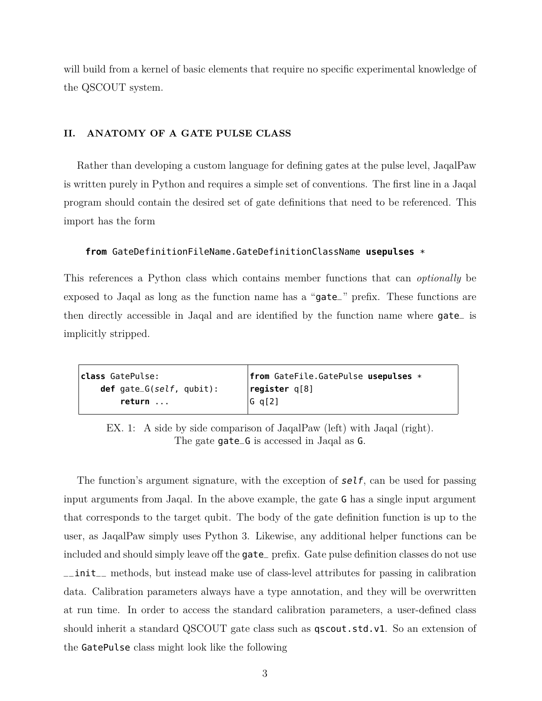will build from a kernel of basic elements that require no specific experimental knowledge of the QSCOUT system.

### **II. ANATOMY OF A GATE PULSE CLASS**

Rather than developing a custom language for defining gates at the pulse level, JaqalPaw is written purely in Python and requires a simple set of conventions. The first line in a Jaqal program should contain the desired set of gate definitions that need to be referenced. This import has the form

#### **from** GateDefinitionFileName.GateDefinitionClassName **usepulses** \*

This references a Python class which contains member functions that can *optionally* be exposed to Jaqal as long as the function name has a "gate\_" prefix. These functions are then directly accessible in Jaqal and are identified by the function name where gate\_ is implicitly stripped.

| c <b>lass</b> GatePulse:        | $ $ from GateFile.GatePulse usepulses $*$ |
|---------------------------------|-------------------------------------------|
| <b>def</b> gate_G(self, qubit): | $\lvert$ register q[8]                    |
| return                          | G q[2]                                    |

EX. 1: A side by side comparison of JaqalPaw (left) with Jaqal (right). The gate gate\_G is accessed in Jaqal as G.

The function's argument signature, with the exception of  $self$ , can be used for passing input arguments from Jaqal. In the above example, the gate G has a single input argument that corresponds to the target qubit. The body of the gate definition function is up to the user, as JaqalPaw simply uses Python 3. Likewise, any additional helper functions can be included and should simply leave off the gate\_ prefix. Gate pulse definition classes do not use \_\_init\_\_ methods, but instead make use of class-level attributes for passing in calibration data. Calibration parameters always have a type annotation, and they will be overwritten at run time. In order to access the standard calibration parameters, a user-defined class should inherit a standard QSCOUT gate class such as qscout.std.v1. So an extension of the GatePulse class might look like the following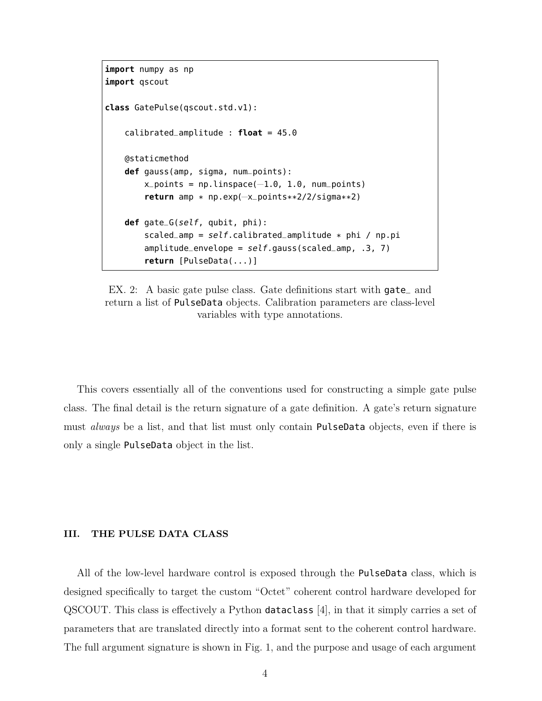```
import numpy as np
import qscout
class GatePulse(qscout.std.v1):
    calibrated_amplitude : float = 45.0
   @staticmethod
   def gauss(amp, sigma, num_points):
        x_{p}oints = np.linspace(-1.0, 1.0, num_points)
        return amp * np.exp(−x_points**2/2/sigma**2)
   def gate_G(self, qubit, phi):
        scaled_amp = self.calibrated_amplitude * phi / np.pi
        amplitude = self.gauss(scaled_amp, .3, 7)
        return [PulseData(...)]
```
EX. 2: A basic gate pulse class. Gate definitions start with gate<sub>and</sub> return a list of PulseData objects. Calibration parameters are class-level variables with type annotations.

This covers essentially all of the conventions used for constructing a simple gate pulse class. The final detail is the return signature of a gate definition. A gate's return signature must *always* be a list, and that list must only contain PulseData objects, even if there is only a single PulseData object in the list.

#### **III. THE PULSE DATA CLASS**

All of the low-level hardware control is exposed through the PulseData class, which is designed specifically to target the custom "Octet" coherent control hardware developed for QSCOUT. This class is effectively a Python dataclass [4], in that it simply carries a set of parameters that are translated directly into a format sent to the coherent control hardware. The full argument signature is shown in Fig. 1, and the purpose and usage of each argument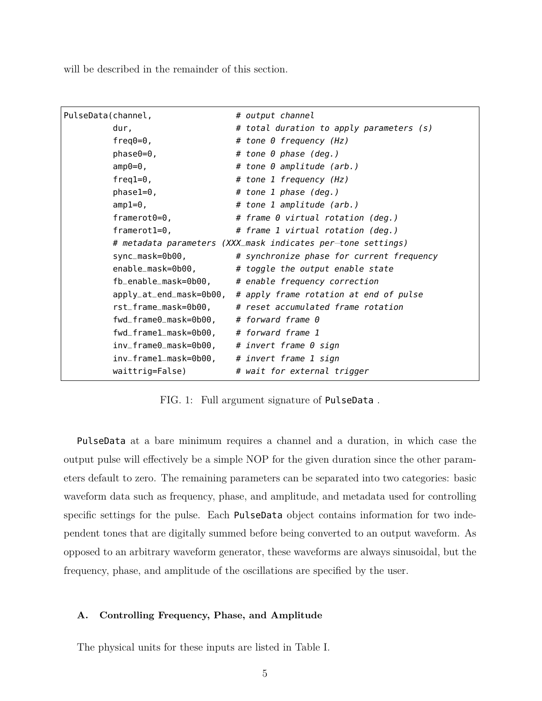will be described in the remainder of this section.

| PulseData(channel,                                     | # output channel                                               |
|--------------------------------------------------------|----------------------------------------------------------------|
| dur,                                                   | # total duration to apply parameters (s)                       |
| freq $\theta$ = $\theta$ ,                             | # tone 0 frequency (Hz)                                        |
| $phase0=0,$                                            | # tone 0 phase (deg.)                                          |
| $amp0=0$ ,                                             | # tone 0 amplitude (arb.)                                      |
| $freq1=0,$                                             | # tone 1 frequency (Hz)                                        |
| $phase1=0,$                                            | # tone 1 phase (deg.)                                          |
| $amp1=0$ ,                                             | # tone 1 amplitude (arb.)                                      |
| $framerot0=0$ ,                                        | # frame 0 virtual rotation (deg.)                              |
| framerot $1=0$ ,                                       | # frame 1 virtual rotation (deg.)                              |
|                                                        | # metadata parameters (XXX_mask indicates per-tone settings)   |
| sync_mask=0b00,                                        | # synchronize phase for current frequency                      |
|                                                        | enable_mask=0b00, # toggle the output enable state             |
|                                                        | $fb$ enable mask=0b00, $#$ enable frequency correction         |
|                                                        | apply_at_end_mask=0b00, # apply frame rotation at end of pulse |
|                                                        | rst_frame_mask=0b00, # reset accumulated frame rotation        |
| $fwd_f$ rame $0_m$ ask= $0b00$ , # forward frame 0     |                                                                |
| fwd_frame1_mask=0b00, # forward frame 1                |                                                                |
| $inv_f$ rame $0_m$ ask= $0b00$ , # invert frame 0 sign |                                                                |
| inv_framel_mask=0b00, # invert frame 1 sign            |                                                                |
| waittrig=False)                                        | # wait for external trigger                                    |

FIG. 1: Full argument signature of PulseData .

PulseData at a bare minimum requires a channel and a duration, in which case the output pulse will effectively be a simple NOP for the given duration since the other parameters default to zero. The remaining parameters can be separated into two categories: basic waveform data such as frequency, phase, and amplitude, and metadata used for controlling specific settings for the pulse. Each PulseData object contains information for two independent tones that are digitally summed before being converted to an output waveform. As opposed to an arbitrary waveform generator, these waveforms are always sinusoidal, but the frequency, phase, and amplitude of the oscillations are specified by the user.

#### **A. Controlling Frequency, Phase, and Amplitude**

The physical units for these inputs are listed in Table I.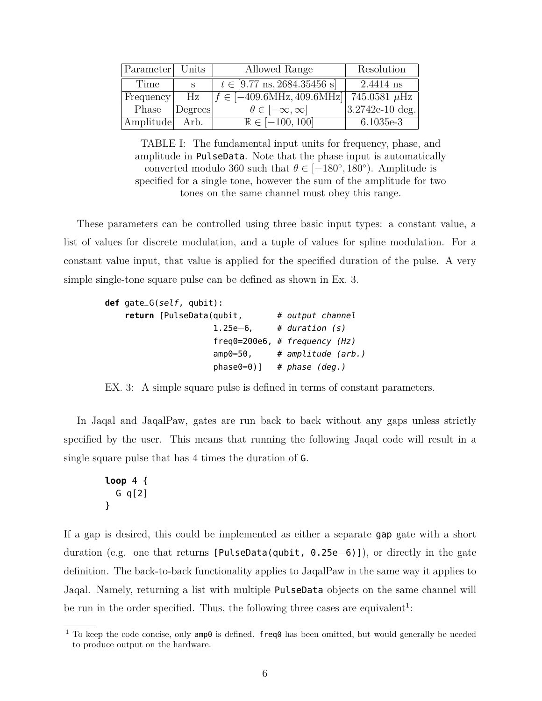| Parameter Units |         | Allowed Range                                   | Resolution        |
|-----------------|---------|-------------------------------------------------|-------------------|
| Time            | S       | $t \in [9.77 \text{ ns}, 2684.35456 \text{ s}]$ | 2.4414 ns         |
| Frequency       | Hz      | $f \in [-409.6\text{MHz}, 409.6\text{MHz}]$     | 745.0581 $\mu$ Hz |
| Phase           | Degrees | $\theta \in [-\infty, \infty]$                  | 3.2742e-10 deg.   |
| Amplitude Arb.  |         | $\overline{\mathbb{R}} \in [-100, 100]$         | $6.1035e-3$       |

TABLE I: The fundamental input units for frequency, phase, and amplitude in PulseData. Note that the phase input is automatically converted modulo 360 such that  $\theta \in [-180^{\circ}, 180^{\circ})$ . Amplitude is specified for a single tone, however the sum of the amplitude for two tones on the same channel must obey this range.

These parameters can be controlled using three basic input types: a constant value, a list of values for discrete modulation, and a tuple of values for spline modulation. For a constant value input, that value is applied for the specified duration of the pulse. A very simple single-tone square pulse can be defined as shown in Ex. 3.

```
def gate_G(self, qubit):
   return [PulseData(qubit, # output channel
                    1.25e−6, # duration (s)
                    freq0=200e6, # frequency (Hz)
                    amp0=50, # amplitude (arb.)
                    phase0=0] # phase (deg.)
```
EX. 3: A simple square pulse is defined in terms of constant parameters.

In Jaqal and JaqalPaw, gates are run back to back without any gaps unless strictly specified by the user. This means that running the following Jaqal code will result in a single square pulse that has 4 times the duration of G.

```
loop 4 {
  G q[2]
}
```
If a gap is desired, this could be implemented as either a separate gap gate with a short duration (e.g. one that returns [PulseData(qubit, 0.25e−6)]), or directly in the gate definition. The back-to-back functionality applies to JaqalPaw in the same way it applies to Jaqal. Namely, returning a list with multiple PulseData objects on the same channel will be run in the order specified. Thus, the following three cases are equivalent<sup>1</sup>:

<sup>&</sup>lt;sup>1</sup> To keep the code concise, only  $amp0$  is defined. freq $0$  has been omitted, but would generally be needed to produce output on the hardware.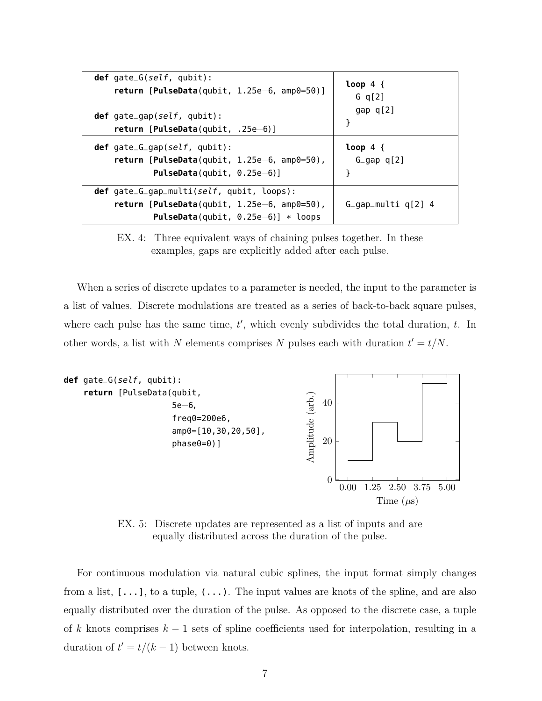| $def$ gate_G(self, qubit):                                                                                                                       | $loop 4 \{$           |
|--------------------------------------------------------------------------------------------------------------------------------------------------|-----------------------|
| return [PulseData(qubit, $1.25e-6$ , amp0=50)]                                                                                                   | G $q[2]$              |
| <b>def</b> gate_gap(self, qubit):                                                                                                                | gap $q[2]$            |
| return $[PulseData(qubit, .25e-6)]$                                                                                                              | ł                     |
| $def$ gate_G_gap(self, qubit):                                                                                                                   | $loop 4 \{$           |
| return $[Pulsebata(qubit, 1.25e-6, amp0=50)$ ,                                                                                                   | $G_{qap}$ q[2]        |
| <b>PulseData</b> (qubit, $0.25e-6$ )]                                                                                                            | ł                     |
| $def$ gate_G_gap_multi(self, qubit, loops):<br>return $[Pulsebata(qubit, 1.25e-6, amp0=50)$ ,<br><b>PulseData</b> (qubit, $0.25e-6$ )] $*$ loops | $G_{qap-multi q[2] 4$ |

EX. 4: Three equivalent ways of chaining pulses together. In these examples, gaps are explicitly added after each pulse.

When a series of discrete updates to a parameter is needed, the input to the parameter is a list of values. Discrete modulations are treated as a series of back-to-back square pulses, where each pulse has the same time,  $t'$ , which evenly subdivides the total duration,  $t$ . In other words, a list with *N* elements comprises *N* pulses each with duration  $t' = t/N$ .



EX. 5: Discrete updates are represented as a list of inputs and are equally distributed across the duration of the pulse.

For continuous modulation via natural cubic splines, the input format simply changes from a list,  $[\ldots]$ , to a tuple,  $(\ldots)$ . The input values are knots of the spline, and are also equally distributed over the duration of the pulse. As opposed to the discrete case, a tuple of *k* knots comprises *k* − 1 sets of spline coefficients used for interpolation, resulting in a duration of  $t' = t/(k-1)$  between knots.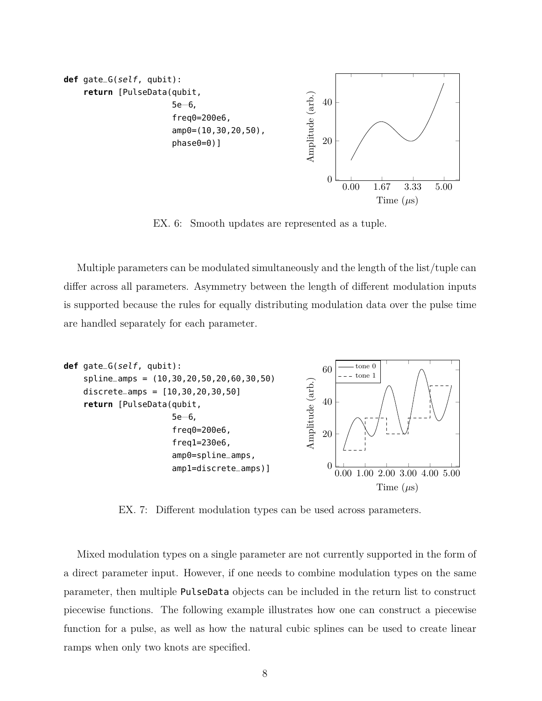

EX. 6: Smooth updates are represented as a tuple.

Multiple parameters can be modulated simultaneously and the length of the list/tuple can differ across all parameters. Asymmetry between the length of different modulation inputs is supported because the rules for equally distributing modulation data over the pulse time are handled separately for each parameter.



EX. 7: Different modulation types can be used across parameters.

Mixed modulation types on a single parameter are not currently supported in the form of a direct parameter input. However, if one needs to combine modulation types on the same parameter, then multiple PulseData objects can be included in the return list to construct piecewise functions. The following example illustrates how one can construct a piecewise function for a pulse, as well as how the natural cubic splines can be used to create linear ramps when only two knots are specified.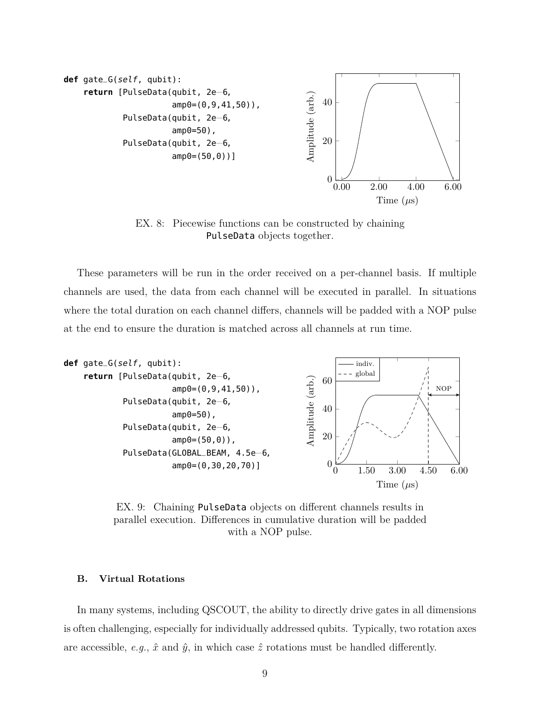

EX. 8: Piecewise functions can be constructed by chaining PulseData objects together.

These parameters will be run in the order received on a per-channel basis. If multiple channels are used, the data from each channel will be executed in parallel. In situations where the total duration on each channel differs, channels will be padded with a NOP pulse at the end to ensure the duration is matched across all channels at run time.



EX. 9: Chaining PulseData objects on different channels results in parallel execution. Differences in cumulative duration will be padded with a NOP pulse.

#### **B. Virtual Rotations**

In many systems, including QSCOUT, the ability to directly drive gates in all dimensions is often challenging, especially for individually addressed qubits. Typically, two rotation axes are accessible, *e.g.*,  $\hat{x}$  and  $\hat{y}$ , in which case  $\hat{z}$  rotations must be handled differently.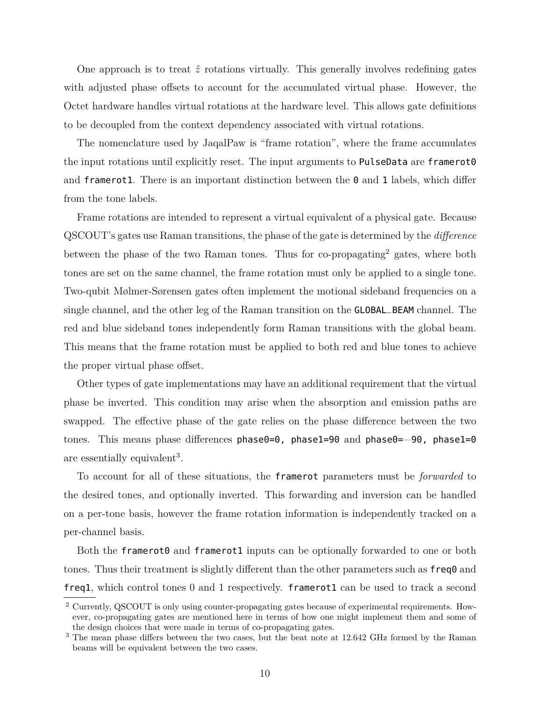One approach is to treat  $\hat{z}$  rotations virtually. This generally involves redefining gates with adjusted phase offsets to account for the accumulated virtual phase. However, the Octet hardware handles virtual rotations at the hardware level. This allows gate definitions to be decoupled from the context dependency associated with virtual rotations.

The nomenclature used by JaqalPaw is "frame rotation", where the frame accumulates the input rotations until explicitly reset. The input arguments to PulseData are framerot0 and framerot1. There is an important distinction between the  $\theta$  and 1 labels, which differ from the tone labels.

Frame rotations are intended to represent a virtual equivalent of a physical gate. Because QSCOUT's gates use Raman transitions, the phase of the gate is determined by the *difference* between the phase of the two Raman tones. Thus for co-propagating<sup>2</sup> gates, where both tones are set on the same channel, the frame rotation must only be applied to a single tone. Two-qubit Mølmer-Sørensen gates often implement the motional sideband frequencies on a single channel, and the other leg of the Raman transition on the GLOBAL\_BEAM channel. The red and blue sideband tones independently form Raman transitions with the global beam. This means that the frame rotation must be applied to both red and blue tones to achieve the proper virtual phase offset.

Other types of gate implementations may have an additional requirement that the virtual phase be inverted. This condition may arise when the absorption and emission paths are swapped. The effective phase of the gate relies on the phase difference between the two tones. This means phase differences phase0=0, phase1=90 and phase0=−90, phase1=0 are essentially equivalent<sup>3</sup>.

To account for all of these situations, the framerot parameters must be *forwarded* to the desired tones, and optionally inverted. This forwarding and inversion can be handled on a per-tone basis, however the frame rotation information is independently tracked on a per-channel basis.

Both the framerot0 and framerot1 inputs can be optionally forwarded to one or both tones. Thus their treatment is slightly different than the other parameters such as  $freq0$  and freq1, which control tones 0 and 1 respectively. framerot1 can be used to track a second

<sup>2</sup> Currently, QSCOUT is only using counter-propagating gates because of experimental requirements. However, co-propagating gates are mentioned here in terms of how one might implement them and some of the design choices that were made in terms of co-propagating gates.

<sup>&</sup>lt;sup>3</sup> The mean phase differs between the two cases, but the beat note at 12.642 GHz formed by the Raman beams will be equivalent between the two cases.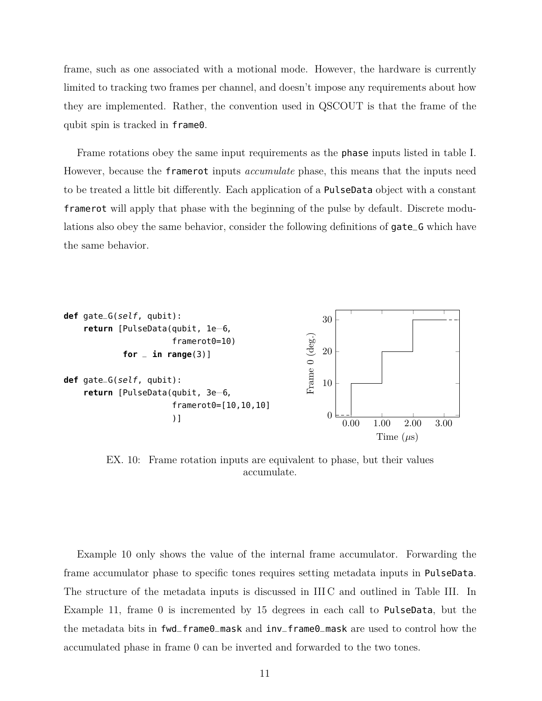frame, such as one associated with a motional mode. However, the hardware is currently limited to tracking two frames per channel, and doesn't impose any requirements about how they are implemented. Rather, the convention used in QSCOUT is that the frame of the qubit spin is tracked in frame0.

Frame rotations obey the same input requirements as the phase inputs listed in table I. However, because the framerot inputs *accumulate* phase, this means that the inputs need to be treated a little bit differently. Each application of a PulseData object with a constant framerot will apply that phase with the beginning of the pulse by default. Discrete modulations also obey the same behavior, consider the following definitions of gate\_G which have the same behavior.



EX. 10: Frame rotation inputs are equivalent to phase, but their values accumulate.

Example 10 only shows the value of the internal frame accumulator. Forwarding the frame accumulator phase to specific tones requires setting metadata inputs in PulseData. The structure of the metadata inputs is discussed in III C and outlined in Table III. In Example 11, frame 0 is incremented by 15 degrees in each call to PulseData, but the the metadata bits in fwd\_frame0\_mask and inv\_frame0\_mask are used to control how the accumulated phase in frame 0 can be inverted and forwarded to the two tones.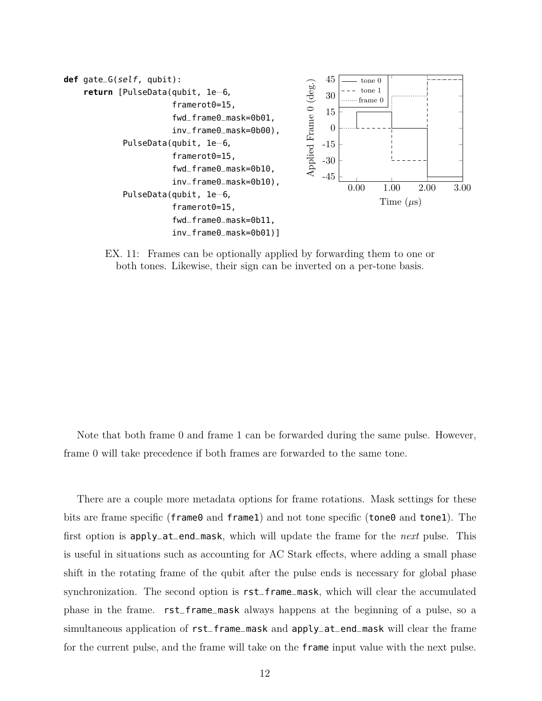

EX. 11: Frames can be optionally applied by forwarding them to one or both tones. Likewise, their sign can be inverted on a per-tone basis.

Note that both frame 0 and frame 1 can be forwarded during the same pulse. However, frame 0 will take precedence if both frames are forwarded to the same tone.

There are a couple more metadata options for frame rotations. Mask settings for these bits are frame specific (frame0 and frame1) and not tone specific (tone0 and tone1). The first option is apply\_at\_end\_mask, which will update the frame for the *next* pulse. This is useful in situations such as accounting for AC Stark effects, where adding a small phase shift in the rotating frame of the qubit after the pulse ends is necessary for global phase synchronization. The second option is rst\_frame\_mask, which will clear the accumulated phase in the frame. rst\_frame\_mask always happens at the beginning of a pulse, so a simultaneous application of rst\_frame\_mask and apply\_at\_end\_mask will clear the frame for the current pulse, and the frame will take on the frame input value with the next pulse.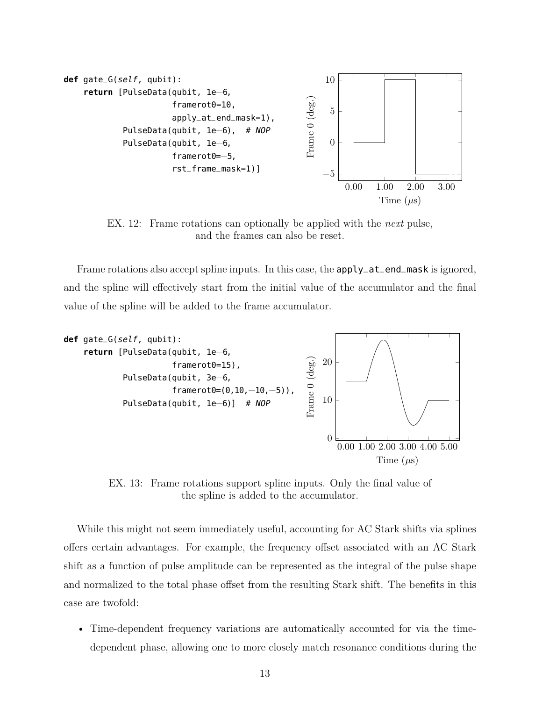

EX. 12: Frame rotations can optionally be applied with the *next* pulse, and the frames can also be reset.

Frame rotations also accept spline inputs. In this case, the **apply\_at\_end\_mask** is ignored, and the spline will effectively start from the initial value of the accumulator and the final value of the spline will be added to the frame accumulator.



EX. 13: Frame rotations support spline inputs. Only the final value of the spline is added to the accumulator.

While this might not seem immediately useful, accounting for AC Stark shifts via splines offers certain advantages. For example, the frequency offset associated with an AC Stark shift as a function of pulse amplitude can be represented as the integral of the pulse shape and normalized to the total phase offset from the resulting Stark shift. The benefits in this case are twofold:

• Time-dependent frequency variations are automatically accounted for via the timedependent phase, allowing one to more closely match resonance conditions during the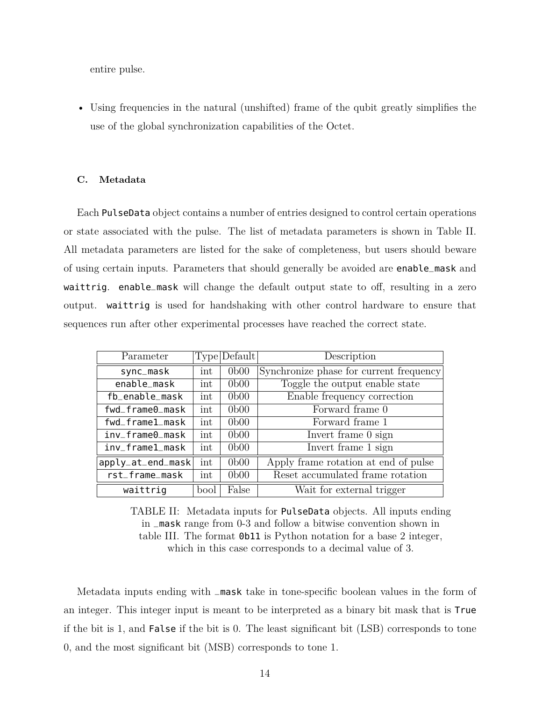entire pulse.

• Using frequencies in the natural (unshifted) frame of the qubit greatly simplifies the use of the global synchronization capabilities of the Octet.

#### **C. Metadata**

Each PulseData object contains a number of entries designed to control certain operations or state associated with the pulse. The list of metadata parameters is shown in Table II. All metadata parameters are listed for the sake of completeness, but users should beware of using certain inputs. Parameters that should generally be avoided are enable\_mask and waittrig. enable\_mask will change the default output state to off, resulting in a zero output. waittrig is used for handshaking with other control hardware to ensure that sequences run after other experimental processes have reached the correct state.

| Parameter                    |                      | Type Default     | Description                             |
|------------------------------|----------------------|------------------|-----------------------------------------|
| sync_mask                    | int                  | 0 <sub>b00</sub> | Synchronize phase for current frequency |
| enable_mask                  | int                  | 0 <sub>b00</sub> | Toggle the output enable state          |
| fb_enable_mask               | $\int$               | 0 <sub>b00</sub> | Enable frequency correction             |
| fwd_frame0_mask              | int                  | 0 <sub>b00</sub> | Forward frame 0                         |
| $fwd\_frame1\_mask$          | int                  | 0 <sub>b00</sub> | Forward frame 1                         |
| $inv_{-}$ frame $0_{-}$ mask | $\operatorname{int}$ | 0 <sub>b00</sub> | Invert frame 0 sign                     |
| inv_frame1_mask              | int                  | 0 <sub>b00</sub> | Invert frame 1 sign                     |
| apply_at_end_mask            | int                  | 0 <sub>b00</sub> | Apply frame rotation at end of pulse    |
| rst_frame_mask               | int                  | 0 <sub>b00</sub> | Reset accumulated frame rotation        |
| waittrig                     | bool                 | False            | Wait for external trigger               |

TABLE II: Metadata inputs for PulseData objects. All inputs ending in \_mask range from 0-3 and follow a bitwise convention shown in table III. The format 0b11 is Python notation for a base 2 integer, which in this case corresponds to a decimal value of 3.

Metadata inputs ending with \_mask take in tone-specific boolean values in the form of an integer. This integer input is meant to be interpreted as a binary bit mask that is True if the bit is 1, and False if the bit is 0. The least significant bit (LSB) corresponds to tone 0, and the most significant bit (MSB) corresponds to tone 1.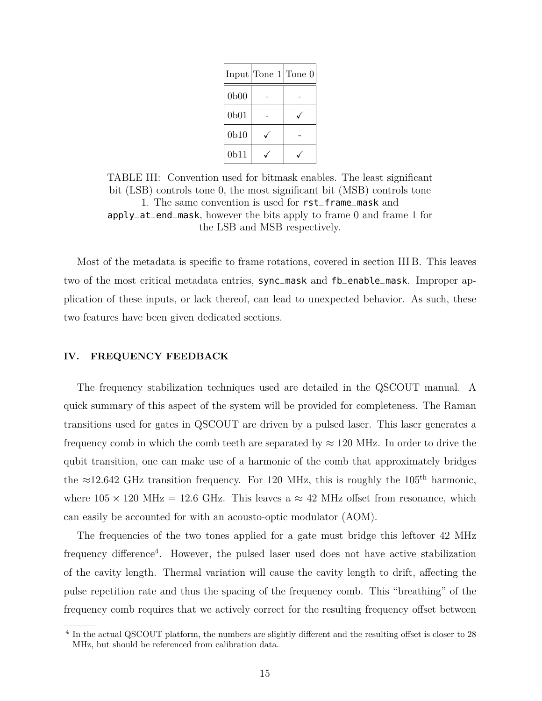|                  | $Input   \text{Tone } 1   \text{Tone } 0  $ |  |
|------------------|---------------------------------------------|--|
| 0 <sub>b00</sub> |                                             |  |
| 0 <sub>b01</sub> |                                             |  |
| 0 <sub>b10</sub> |                                             |  |
| 0 <sub>b11</sub> |                                             |  |

TABLE III: Convention used for bitmask enables. The least significant bit (LSB) controls tone 0, the most significant bit (MSB) controls tone 1. The same convention is used for rst\_frame\_mask and apply\_at\_end\_mask, however the bits apply to frame 0 and frame 1 for the LSB and MSB respectively.

Most of the metadata is specific to frame rotations, covered in section III B. This leaves two of the most critical metadata entries, sync\_mask and fb\_enable\_mask. Improper application of these inputs, or lack thereof, can lead to unexpected behavior. As such, these two features have been given dedicated sections.

#### **IV. FREQUENCY FEEDBACK**

The frequency stabilization techniques used are detailed in the QSCOUT manual. A quick summary of this aspect of the system will be provided for completeness. The Raman transitions used for gates in QSCOUT are driven by a pulsed laser. This laser generates a frequency comb in which the comb teeth are separated by  $\approx 120$  MHz. In order to drive the qubit transition, one can make use of a harmonic of the comb that approximately bridges the  $\approx$ 12.642 GHz transition frequency. For 120 MHz, this is roughly the 105<sup>th</sup> harmonic, where  $105 \times 120 \text{ MHz} = 12.6 \text{ GHz}$ . This leaves a  $\approx 42 \text{ MHz}$  offset from resonance, which can easily be accounted for with an acousto-optic modulator (AOM).

The frequencies of the two tones applied for a gate must bridge this leftover 42 MHz frequency difference<sup>4</sup>. However, the pulsed laser used does not have active stabilization of the cavity length. Thermal variation will cause the cavity length to drift, affecting the pulse repetition rate and thus the spacing of the frequency comb. This "breathing" of the frequency comb requires that we actively correct for the resulting frequency offset between

<sup>&</sup>lt;sup>4</sup> In the actual QSCOUT platform, the numbers are slightly different and the resulting offset is closer to 28 MHz, but should be referenced from calibration data.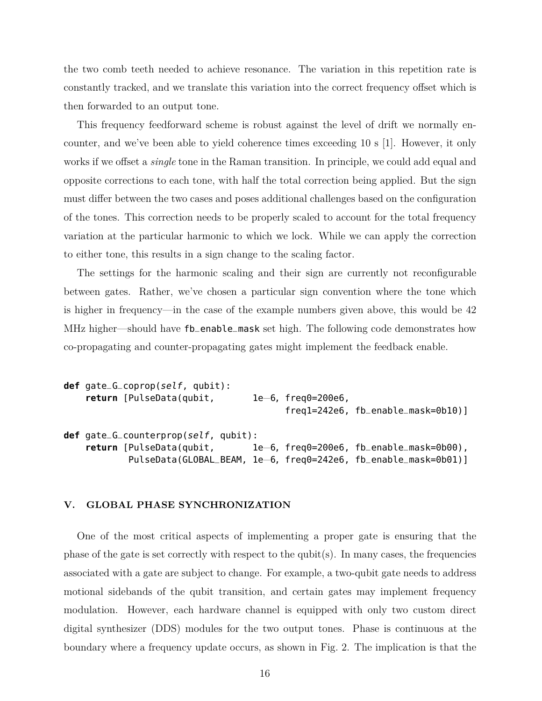the two comb teeth needed to achieve resonance. The variation in this repetition rate is constantly tracked, and we translate this variation into the correct frequency offset which is then forwarded to an output tone.

This frequency feedforward scheme is robust against the level of drift we normally encounter, and we've been able to yield coherence times exceeding 10 s [1]. However, it only works if we offset a *single* tone in the Raman transition. In principle, we could add equal and opposite corrections to each tone, with half the total correction being applied. But the sign must differ between the two cases and poses additional challenges based on the configuration of the tones. This correction needs to be properly scaled to account for the total frequency variation at the particular harmonic to which we lock. While we can apply the correction to either tone, this results in a sign change to the scaling factor.

The settings for the harmonic scaling and their sign are currently not reconfigurable between gates. Rather, we've chosen a particular sign convention where the tone which is higher in frequency—in the case of the example numbers given above, this would be 42 MHz higher—should have fb\_enable\_mask set high. The following code demonstrates how co-propagating and counter-propagating gates might implement the feedback enable.

```
def gate_G_coprop(self, qubit):
    return [PulseData(qubit, 1e−6, freq0=200e6,
                                        freq1=242e6, fb_enable_mask=0b10)]
def gate_G_counterprop(self, qubit):
   return [PulseData(qubit, 1e−6, freq0=200e6, fb_enable_mask=0b00),
           PulseData(GLOBAL_BEAM, 1e−6, freq0=242e6, fb_enable_mask=0b01)]
```
#### **V. GLOBAL PHASE SYNCHRONIZATION**

One of the most critical aspects of implementing a proper gate is ensuring that the phase of the gate is set correctly with respect to the qubit $(s)$ . In many cases, the frequencies associated with a gate are subject to change. For example, a two-qubit gate needs to address motional sidebands of the qubit transition, and certain gates may implement frequency modulation. However, each hardware channel is equipped with only two custom direct digital synthesizer (DDS) modules for the two output tones. Phase is continuous at the boundary where a frequency update occurs, as shown in Fig. 2. The implication is that the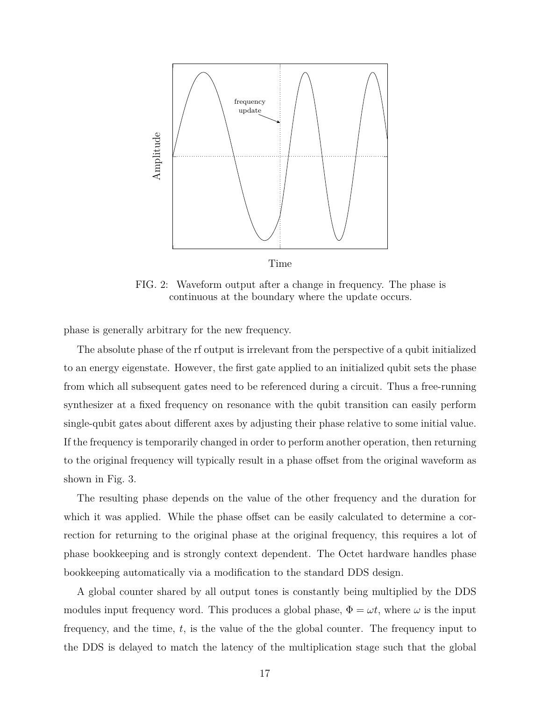

FIG. 2: Waveform output after a change in frequency. The phase is continuous at the boundary where the update occurs.

phase is generally arbitrary for the new frequency.

The absolute phase of the rf output is irrelevant from the perspective of a qubit initialized to an energy eigenstate. However, the first gate applied to an initialized qubit sets the phase from which all subsequent gates need to be referenced during a circuit. Thus a free-running synthesizer at a fixed frequency on resonance with the qubit transition can easily perform single-qubit gates about different axes by adjusting their phase relative to some initial value. If the frequency is temporarily changed in order to perform another operation, then returning to the original frequency will typically result in a phase offset from the original waveform as shown in Fig. 3.

The resulting phase depends on the value of the other frequency and the duration for which it was applied. While the phase offset can be easily calculated to determine a correction for returning to the original phase at the original frequency, this requires a lot of phase bookkeeping and is strongly context dependent. The Octet hardware handles phase bookkeeping automatically via a modification to the standard DDS design.

A global counter shared by all output tones is constantly being multiplied by the DDS modules input frequency word. This produces a global phase,  $\Phi = \omega t$ , where  $\omega$  is the input frequency, and the time, *t*, is the value of the the global counter. The frequency input to the DDS is delayed to match the latency of the multiplication stage such that the global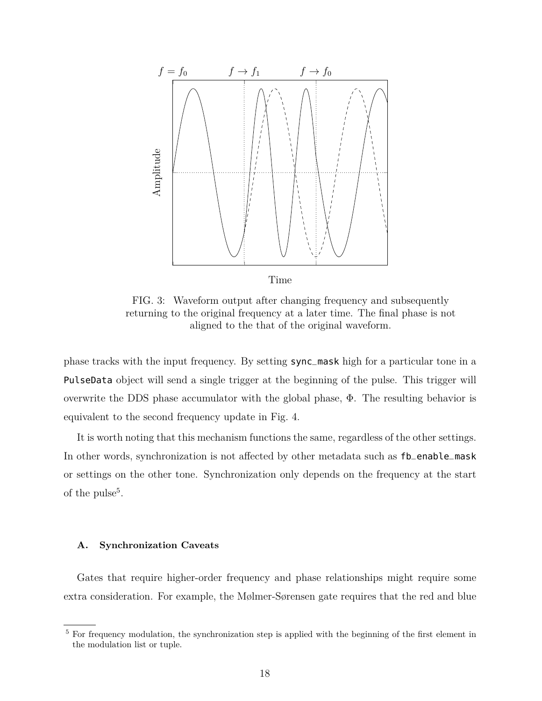

FIG. 3: Waveform output after changing frequency and subsequently returning to the original frequency at a later time. The final phase is not aligned to the that of the original waveform.

phase tracks with the input frequency. By setting sync\_mask high for a particular tone in a PulseData object will send a single trigger at the beginning of the pulse. This trigger will overwrite the DDS phase accumulator with the global phase, Φ. The resulting behavior is equivalent to the second frequency update in Fig. 4.

It is worth noting that this mechanism functions the same, regardless of the other settings. In other words, synchronization is not affected by other metadata such as fb\_enable\_mask or settings on the other tone. Synchronization only depends on the frequency at the start of the pulse<sup>5</sup>.

#### **A. Synchronization Caveats**

Gates that require higher-order frequency and phase relationships might require some extra consideration. For example, the Mølmer-Sørensen gate requires that the red and blue

 $5$  For frequency modulation, the synchronization step is applied with the beginning of the first element in the modulation list or tuple.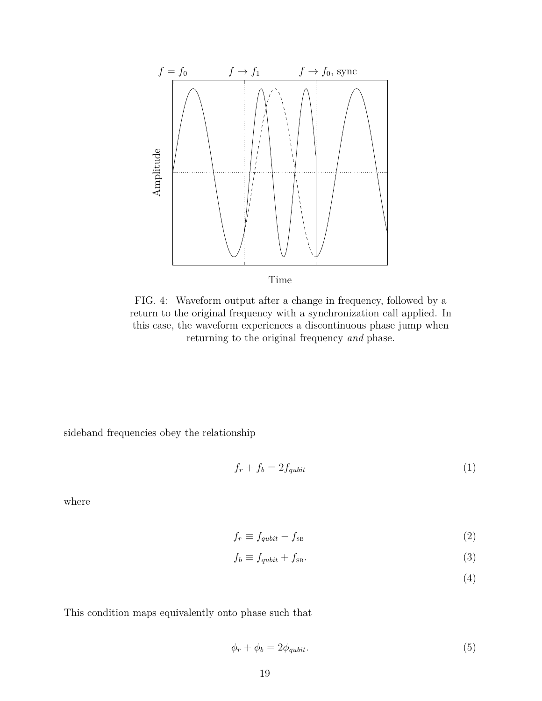

FIG. 4: Waveform output after a change in frequency, followed by a return to the original frequency with a synchronization call applied. In this case, the waveform experiences a discontinuous phase jump when returning to the original frequency *and* phase.

sideband frequencies obey the relationship

$$
f_r + f_b = 2f_{qubit} \tag{1}
$$

where

$$
f_r \equiv f_{qubit} - f_{\rm SB} \tag{2}
$$

$$
f_b \equiv f_{qubit} + f_{\text{SB}}.\tag{3}
$$

(4)

This condition maps equivalently onto phase such that

$$
\phi_r + \phi_b = 2\phi_{qubit}.\tag{5}
$$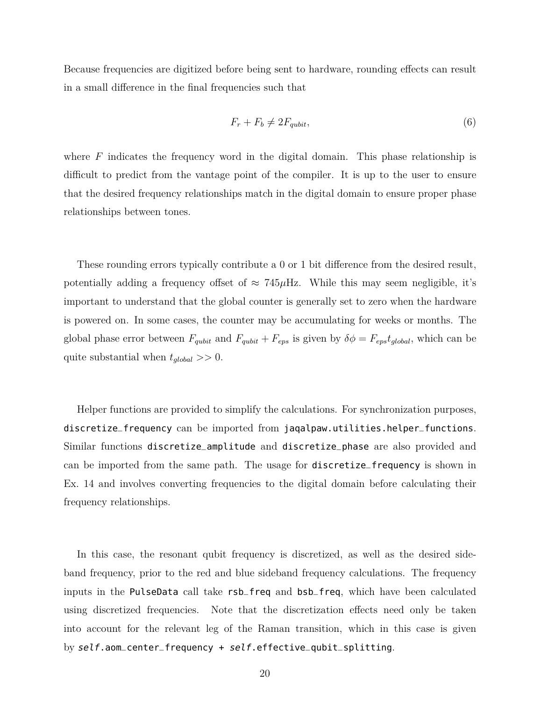Because frequencies are digitized before being sent to hardware, rounding effects can result in a small difference in the final frequencies such that

$$
F_r + F_b \neq 2F_{qubit},\tag{6}
$$

where *F* indicates the frequency word in the digital domain. This phase relationship is difficult to predict from the vantage point of the compiler. It is up to the user to ensure that the desired frequency relationships match in the digital domain to ensure proper phase relationships between tones.

These rounding errors typically contribute a 0 or 1 bit difference from the desired result, potentially adding a frequency offset of  $\approx 745 \mu$ Hz. While this may seem negligible, it's important to understand that the global counter is generally set to zero when the hardware is powered on. In some cases, the counter may be accumulating for weeks or months. The global phase error between  $F_{qubit}$  and  $F_{qubit} + F_{eps}$  is given by  $\delta \phi = F_{eps} t_{global}$ , which can be quite substantial when *tglobal >>* 0.

Helper functions are provided to simplify the calculations. For synchronization purposes, discretize\_frequency can be imported from jaqalpaw.utilities.helper\_functions. Similar functions discretize\_amplitude and discretize\_phase are also provided and can be imported from the same path. The usage for discretize\_frequency is shown in Ex. 14 and involves converting frequencies to the digital domain before calculating their frequency relationships.

In this case, the resonant qubit frequency is discretized, as well as the desired sideband frequency, prior to the red and blue sideband frequency calculations. The frequency inputs in the PulseData call take rsb\_freq and bsb\_freq, which have been calculated using discretized frequencies. Note that the discretization effects need only be taken into account for the relevant leg of the Raman transition, which in this case is given by self.aom\_center\_frequency + self.effective\_qubit\_splitting.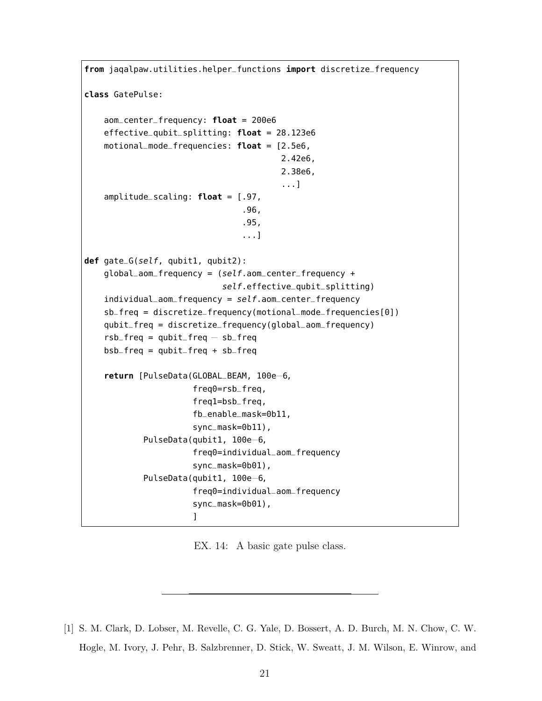```
from jaqalpaw.utilities.helper_functions import discretize_frequency
class GatePulse:
    aom_center_frequency: float = 200e6
    effective_qubit_splitting: float = 28.123e6
    motional_mode_frequencies: float = [2.5e6,
                                        2.42e6,
                                        2.38e6,
                                        ...]
    amplitude_scaling: float = [.97,
                                .96,
                                .95,
                                ...]
def gate_G(self, qubit1, qubit2):
    global_aom_frequency = (self.aom_center_frequency +
                            self.effective_qubit_splitting)
    individual\_aom_frequency = self.aom_center_frequency
    sb_freq = discretize_frequency(motional_mode_frequencies[0])
    qubit_freq = discretize_frequency(global_aom_frequency)
    rsb_freq = qubit_freq - sb_freqbsb_freq = qubit_freq + sb_freq
    return [PulseData(GLOBAL_BEAM, 100e−6,
                      freq0=rsb_freq,
                      freq1=bsb_freq,
                      fb_enable_mask=0b11,
                      sync_mask=0b11),
            PulseData(qubit1, 100e−6,
                      freq0=individual_aom_frequency
                      sync_mask=0b01),
            PulseData(qubit1, 100e−6,
                      freq0=individual_aom_frequency
                      sync_mask=0b01),
                      ]
```
EX. 14: A basic gate pulse class.

[1] S. M. Clark, D. Lobser, M. Revelle, C. G. Yale, D. Bossert, A. D. Burch, M. N. Chow, C. W. Hogle, M. Ivory, J. Pehr, B. Salzbrenner, D. Stick, W. Sweatt, J. M. Wilson, E. Winrow, and